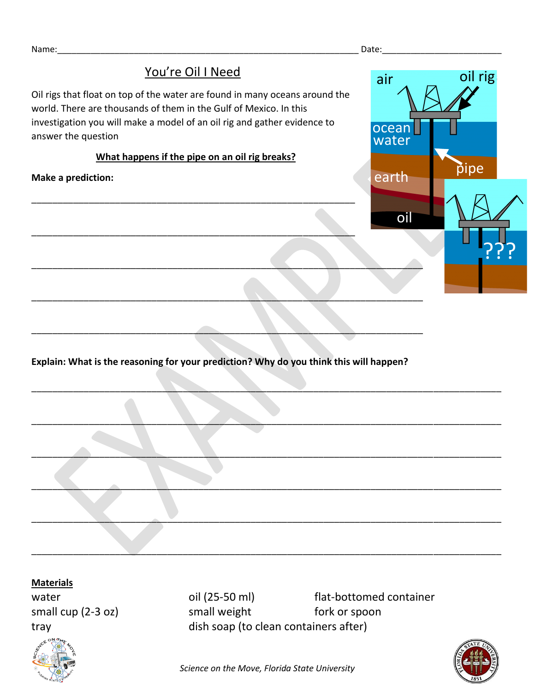## You're Oil I Need Oil rigs that float on top of the water are found in many oceans around the world. There are thousands of them in the Gulf of Mexico. In this investigation you will make a model of an oil rig and gather evidence to answer the question **What happens if the pipe on an oil rig breaks? Make a prediction:** \_\_\_\_\_\_\_\_\_\_\_\_\_\_\_\_\_\_\_\_\_\_\_\_\_\_\_\_\_\_\_\_\_\_\_\_\_\_\_\_\_\_\_\_\_\_\_\_\_\_\_\_\_\_\_\_\_\_\_\_\_\_ \_\_\_\_\_\_\_\_\_\_\_\_\_\_\_\_\_\_\_\_\_\_\_\_\_\_\_\_\_\_\_\_\_\_\_\_\_\_\_\_\_\_\_\_\_\_\_\_\_\_\_\_\_\_\_\_\_\_\_\_\_\_ \_\_\_\_\_\_\_\_\_\_\_\_\_\_\_\_\_\_\_\_\_\_\_\_\_\_\_\_\_\_\_\_\_\_\_\_\_\_\_\_\_\_\_\_\_\_\_\_\_\_\_\_\_\_\_\_\_\_\_\_\_\_\_\_\_\_\_\_\_\_\_\_\_\_\_ \_\_\_\_\_\_\_\_\_\_\_\_\_\_\_\_\_\_\_\_\_\_\_\_\_\_\_\_\_\_\_\_\_\_\_\_\_\_\_\_\_\_\_\_\_\_\_\_\_\_\_\_\_\_\_\_\_\_\_\_\_\_\_\_\_\_\_\_\_\_\_\_\_\_\_ oil earth nd ocean water air oil rig pipe <u>???</u>

**Explain: What is the reasoning for your prediction? Why do you think this will happen?**

 $\Box$  . The contract of the contract of the contract of the contract of the contract of the contract of the contract of the contract of the contract of the contract of the contract of the contract of the contract of the co

 $\Box$  .  $\Box$  .  $\Box$  .  $\Box$  .  $\Box$  .  $\Box$  .  $\Box$  .  $\Box$  .  $\Box$  .  $\Box$  .  $\Box$  .  $\Box$  .  $\Box$  .  $\Box$  .  $\Box$  .  $\Box$  .  $\Box$  .  $\Box$  .  $\Box$  .  $\Box$  .  $\Box$  .  $\Box$  .  $\Box$  .  $\Box$  .  $\Box$  .  $\Box$  .  $\Box$  .  $\Box$  .  $\Box$  .  $\Box$  .  $\Box$  .  $\Box$ 

 $\Box$  . The contract of the contract of the contract of the contract of the contract of the contract of the contract of the contract of the contract of the contract of the contract of the contract of the contract of the co

 $\mathcal{L} = \{ \mathcal{L} \mid \mathcal{L} \text{ is a constant, } \mathcal{L} \text{ is a constant, } \mathcal{L} \text{ is a constant, } \mathcal{L} \text{ is a constant, } \mathcal{L} \text{ is a constant, } \mathcal{L} \text{ is a constant, } \mathcal{L} \text{ is a constant, } \mathcal{L} \text{ is a constant, } \mathcal{L} \text{ is a constant, } \mathcal{L} \text{ is a constant, } \mathcal{L} \text{ is a constant, } \mathcal{L} \text{ is a constant, } \mathcal{L} \text{ is a constant, } \mathcal{L} \text{ is a constant, } \mathcal{L} \$ 

\_\_\_\_\_\_\_\_\_\_\_\_\_\_\_\_\_\_\_\_\_\_\_\_\_\_\_\_\_\_\_\_\_\_\_\_\_\_\_\_\_\_\_\_\_\_\_\_\_\_\_\_\_\_\_\_\_\_\_\_\_\_\_\_\_\_\_\_\_\_\_\_\_\_\_\_\_\_\_\_\_\_\_\_\_\_\_\_\_\_

\_\_\_\_\_\_\_\_\_\_\_\_\_\_\_\_\_\_\_\_\_\_\_\_\_\_\_\_\_\_\_\_\_\_\_\_\_\_\_\_\_\_\_\_\_\_\_\_\_\_\_\_\_\_\_\_\_\_\_\_\_\_\_\_\_\_\_\_\_\_\_\_\_\_\_\_\_\_\_\_\_\_\_\_\_\_\_\_\_\_

\_\_\_\_\_\_\_\_\_\_\_\_\_\_\_\_\_\_\_\_\_\_\_\_\_\_\_\_\_\_\_\_\_\_\_\_\_\_\_\_\_\_\_\_\_\_\_\_\_\_\_\_\_\_\_\_\_\_\_\_\_\_\_\_\_\_\_\_\_\_\_\_\_\_\_

## **Materials**



water **oil (25-50 ml)** flat-bottomed container small cup (2-3 oz) small weight fork or spoon tray dish soap (to clean containers after)



*Science on the Move, Florida State University*